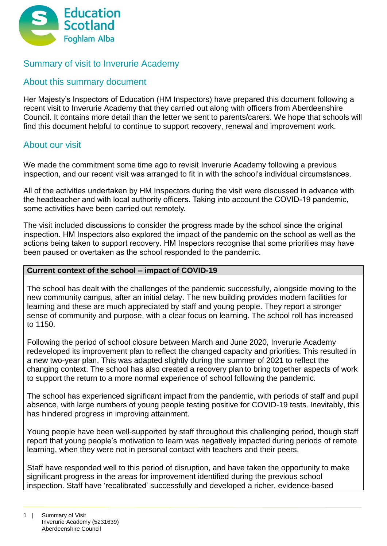

# Summary of visit to Inverurie Academy

## About this summary document

Her Majesty's Inspectors of Education (HM Inspectors) have prepared this document following a recent visit to Inverurie Academy that they carried out along with officers from Aberdeenshire Council. It contains more detail than the letter we sent to parents/carers. We hope that schools will find this document helpful to continue to support recovery, renewal and improvement work.

## About our visit

We made the commitment some time ago to revisit Inverurie Academy following a previous inspection, and our recent visit was arranged to fit in with the school's individual circumstances.

All of the activities undertaken by HM Inspectors during the visit were discussed in advance with the headteacher and with local authority officers. Taking into account the COVID-19 pandemic, some activities have been carried out remotely.

The visit included discussions to consider the progress made by the school since the original inspection. HM Inspectors also explored the impact of the pandemic on the school as well as the actions being taken to support recovery. HM Inspectors recognise that some priorities may have been paused or overtaken as the school responded to the pandemic.

### **Current context of the school – impact of COVID-19**

The school has dealt with the challenges of the pandemic successfully, alongside moving to the new community campus, after an initial delay. The new building provides modern facilities for learning and these are much appreciated by staff and young people. They report a stronger sense of community and purpose, with a clear focus on learning. The school roll has increased to 1150.

Following the period of school closure between March and June 2020, Inverurie Academy redeveloped its improvement plan to reflect the changed capacity and priorities. This resulted in a new two-year plan. This was adapted slightly during the summer of 2021 to reflect the changing context. The school has also created a recovery plan to bring together aspects of work to support the return to a more normal experience of school following the pandemic.

The school has experienced significant impact from the pandemic, with periods of staff and pupil absence, with large numbers of young people testing positive for COVID-19 tests. Inevitably, this has hindered progress in improving attainment.

Young people have been well-supported by staff throughout this challenging period, though staff report that young people's motivation to learn was negatively impacted during periods of remote learning, when they were not in personal contact with teachers and their peers.

Staff have responded well to this period of disruption, and have taken the opportunity to make significant progress in the areas for improvement identified during the previous school inspection. Staff have 'recalibrated' successfully and developed a richer, evidence-based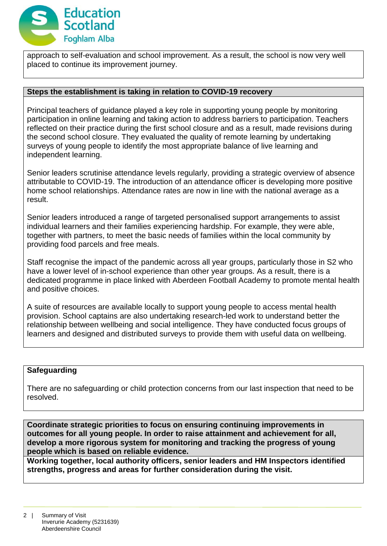

approach to self-evaluation and school improvement. As a result, the school is now very well placed to continue its improvement journey.

#### **Steps the establishment is taking in relation to COVID-19 recovery**

Principal teachers of guidance played a key role in supporting young people by monitoring participation in online learning and taking action to address barriers to participation. Teachers reflected on their practice during the first school closure and as a result, made revisions during the second school closure. They evaluated the quality of remote learning by undertaking surveys of young people to identify the most appropriate balance of live learning and independent learning.

Senior leaders scrutinise attendance levels regularly, providing a strategic overview of absence attributable to COVID-19. The introduction of an attendance officer is developing more positive home school relationships. Attendance rates are now in line with the national average as a result.

Senior leaders introduced a range of targeted personalised support arrangements to assist individual learners and their families experiencing hardship. For example, they were able, together with partners, to meet the basic needs of families within the local community by providing food parcels and free meals.

Staff recognise the impact of the pandemic across all year groups, particularly those in S2 who have a lower level of in-school experience than other year groups. As a result, there is a dedicated programme in place linked with Aberdeen Football Academy to promote mental health and positive choices.

A suite of resources are available locally to support young people to access mental health provision. School captains are also undertaking research-led work to understand better the relationship between wellbeing and social intelligence. They have conducted focus groups of learners and designed and distributed surveys to provide them with useful data on wellbeing.

### **Safeguarding**

There are no safeguarding or child protection concerns from our last inspection that need to be resolved.

**Coordinate strategic priorities to focus on ensuring continuing improvements in outcomes for all young people. In order to raise attainment and achievement for all, develop a more rigorous system for monitoring and tracking the progress of young people which is based on reliable evidence.**

**Working together, local authority officers, senior leaders and HM Inspectors identified strengths, progress and areas for further consideration during the visit.**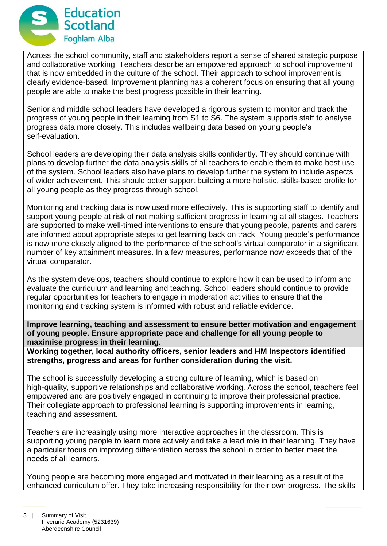

Across the school community, staff and stakeholders report a sense of shared strategic purpose and collaborative working. Teachers describe an empowered approach to school improvement that is now embedded in the culture of the school. Their approach to school improvement is clearly evidence-based. Improvement planning has a coherent focus on ensuring that all young people are able to make the best progress possible in their learning.

Senior and middle school leaders have developed a rigorous system to monitor and track the progress of young people in their learning from S1 to S6. The system supports staff to analyse progress data more closely. This includes wellbeing data based on young people's self-evaluation.

School leaders are developing their data analysis skills confidently. They should continue with plans to develop further the data analysis skills of all teachers to enable them to make best use of the system. School leaders also have plans to develop further the system to include aspects of wider achievement. This should better support building a more holistic, skills-based profile for all young people as they progress through school.

Monitoring and tracking data is now used more effectively. This is supporting staff to identify and support young people at risk of not making sufficient progress in learning at all stages. Teachers are supported to make well-timed interventions to ensure that young people, parents and carers are informed about appropriate steps to get learning back on track. Young people's performance is now more closely aligned to the performance of the school's virtual comparator in a significant number of key attainment measures. In a few measures, performance now exceeds that of the virtual comparator.

As the system develops, teachers should continue to explore how it can be used to inform and evaluate the curriculum and learning and teaching. School leaders should continue to provide regular opportunities for teachers to engage in moderation activities to ensure that the monitoring and tracking system is informed with robust and reliable evidence.

**Improve learning, teaching and assessment to ensure better motivation and engagement of young people. Ensure appropriate pace and challenge for all young people to maximise progress in their learning.**

**Working together, local authority officers, senior leaders and HM Inspectors identified strengths, progress and areas for further consideration during the visit.**

The school is successfully developing a strong culture of learning, which is based on high-quality, supportive relationships and collaborative working. Across the school, teachers feel empowered and are positively engaged in continuing to improve their professional practice. Their collegiate approach to professional learning is supporting improvements in learning, teaching and assessment.

Teachers are increasingly using more interactive approaches in the classroom. This is supporting young people to learn more actively and take a lead role in their learning. They have a particular focus on improving differentiation across the school in order to better meet the needs of all learners.

Young people are becoming more engaged and motivated in their learning as a result of the enhanced curriculum offer. They take increasing responsibility for their own progress. The skills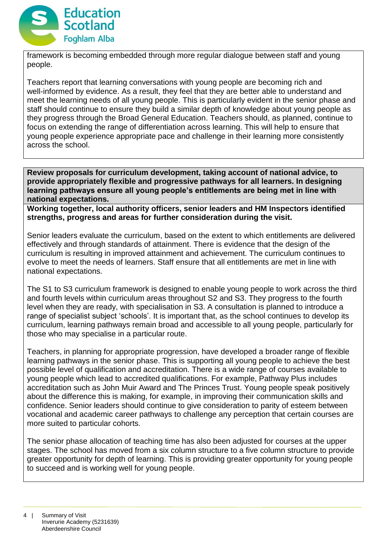

framework is becoming embedded through more regular dialogue between staff and young people.

Teachers report that learning conversations with young people are becoming rich and well-informed by evidence. As a result, they feel that they are better able to understand and meet the learning needs of all young people. This is particularly evident in the senior phase and staff should continue to ensure they build a similar depth of knowledge about young people as they progress through the Broad General Education. Teachers should, as planned, continue to focus on extending the range of differentiation across learning. This will help to ensure that young people experience appropriate pace and challenge in their learning more consistently across the school.

**Review proposals for curriculum development, taking account of national advice, to provide appropriately flexible and progressive pathways for all learners. In designing learning pathways ensure all young people's entitlements are being met in line with national expectations.**

**Working together, local authority officers, senior leaders and HM Inspectors identified strengths, progress and areas for further consideration during the visit.**

Senior leaders evaluate the curriculum, based on the extent to which entitlements are delivered effectively and through standards of attainment. There is evidence that the design of the curriculum is resulting in improved attainment and achievement. The curriculum continues to evolve to meet the needs of learners. Staff ensure that all entitlements are met in line with national expectations.

The S1 to S3 curriculum framework is designed to enable young people to work across the third and fourth levels within curriculum areas throughout S2 and S3. They progress to the fourth level when they are ready, with specialisation in S3. A consultation is planned to introduce a range of specialist subject 'schools'. It is important that, as the school continues to develop its curriculum, learning pathways remain broad and accessible to all young people, particularly for those who may specialise in a particular route.

Teachers, in planning for appropriate progression, have developed a broader range of flexible learning pathways in the senior phase. This is supporting all young people to achieve the best possible level of qualification and accreditation. There is a wide range of courses available to young people which lead to accredited qualifications. For example, Pathway Plus includes accreditation such as John Muir Award and The Princes Trust. Young people speak positively about the difference this is making, for example, in improving their communication skills and confidence. Senior leaders should continue to give consideration to parity of esteem between vocational and academic career pathways to challenge any perception that certain courses are more suited to particular cohorts.

The senior phase allocation of teaching time has also been adjusted for courses at the upper stages. The school has moved from a six column structure to a five column structure to provide greater opportunity for depth of learning. This is providing greater opportunity for young people to succeed and is working well for young people.